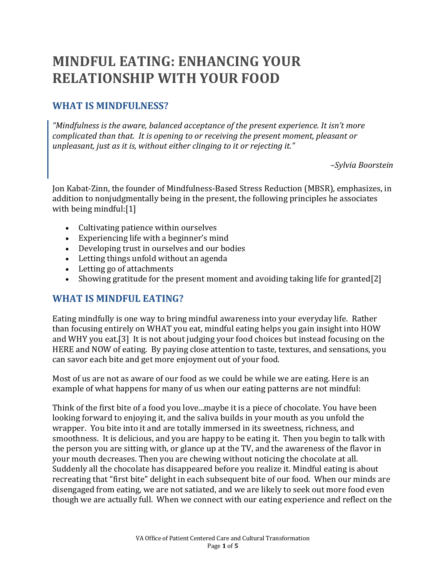# **MINDFUL EATING: ENHANCING YOUR RELATIONSHIP WITH YOUR FOOD**

## **WHAT IS MINDFULNESS?**

*"Mindfulness is the aware, balanced acceptance of the present experience. It isn't more complicated than that. It is opening to or receiving the present moment, pleasant or unpleasant, just as it is, without either clinging to it or rejecting it."* 

*–Sylvia Boorstein*

Jon Kabat-Zinn, the founder of Mindfulness-Based Stress Reduction (MBSR), emphasizes, in addition to nonjudgmentally being in the present, the following principles he associates with being mindful:[\[1\]](#page-4-0)

- Cultivating patience within ourselves
- Experiencing life with a beginner's mind
- Developing trust in ourselves and our bodies
- Letting things unfold without an agenda
- Letting go of attachments
- Showing gratitude for the present moment and avoiding taking life for granted[\[2\]](#page-4-1)

#### **WHAT IS MINDFUL EATING?**

Eating mindfully is one way to bring mindful awareness into your everyday life. Rather than focusing entirely on WHAT you eat, mindful eating helps you gain insight into HOW and WHY you eat.[\[3\]](#page-4-2) It is not about judging your food choices but instead focusing on the HERE and NOW of eating. By paying close attention to taste, textures, and sensations, you can savor each bite and get more enjoyment out of your food.

Most of us are not as aware of our food as we could be while we are eating. Here is an example of what happens for many of us when our eating patterns are not mindful:

Think of the first bite of a food you love...maybe it is a piece of chocolate. You have been looking forward to enjoying it, and the saliva builds in your mouth as you unfold the wrapper. You bite into it and are totally immersed in its sweetness, richness, and smoothness. It is delicious, and you are happy to be eating it. Then you begin to talk with the person you are sitting with, or glance up at the TV, and the awareness of the flavor in your mouth decreases. Then you are chewing without noticing the chocolate at all. Suddenly all the chocolate has disappeared before you realize it. Mindful eating is about recreating that "first bite" delight in each subsequent bite of our food. When our minds are disengaged from eating, we are not satiated, and we are likely to seek out more food even though we are actually full. When we connect with our eating experience and reflect on the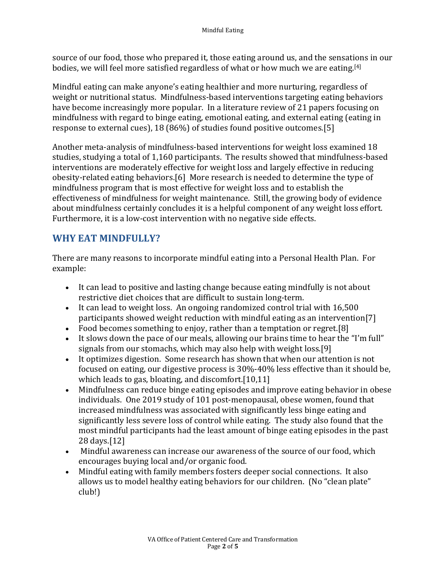source of our food, those who prepared it, those eating around us, and the sensations in our bodies, we will feel more satisfied regardless of what or how much we are eating.[\[4\]](#page-4-8)

Mindful eating can make anyone's eating healthier and more nurturing, regardless of weight or nutritional status. Mindfulness-based interventions targeting eating behaviors have become increasingly more popular. In a literature review of 21 papers focusing on mindfulness with regard to binge eating, emotional eating, and external eating (eating in response to external cues), 18 (86%) of studies found positive outcomes.[\[5\]](#page-4-3)

Another meta-analysis of mindfulness-based interventions for weight loss examined 18 studies, studying a total of 1,160 participants. The results showed that mindfulness-based interventions are moderately effective for weight loss and largely effective in reducing obesity-related eating behaviors.[[6\]](#page-4-9) More research is needed to determine the type of mindfulness program that is most effective for weight loss and to establish the effectiveness of mindfulness for weight maintenance. Still, the growing body of evidence about mindfulness certainly concludes it is a helpful component of any weight loss effort. Furthermore, it is a low-cost intervention with no negative side effects.

### **WHY EAT MINDFULLY?**

There are many reasons to incorporate mindful eating into a Personal Health Plan. For example:

- It can lead to positive and lasting change because eating mindfully is not about restrictive diet choices that are difficult to sustain long-term.
- It can lead to weight loss. An ongoing randomized control trial with 16,500 participants showed weight reduction with mindful eating as an intervention[\[7\]](#page-4-10)
- Food becomes something to enjoy, rather than a temptation or regret.[\[8\]](#page-4-11)
- It slows down the pace of our meals, allowing our brains time to hear the "I'm full" signals from our stomachs, which may also help with weight loss.[\[9\]](#page-4-4)
- It optimizes digestion. Some research has shown that when our attention is not focused on eating, our digestive process is 30%-40% less effective than it should be, which leads to gas, bloating, and discomfort.[\[10](#page-4-5)[,11\]](#page-4-6)
- Mindfulness can reduce binge eating episodes and improve eating behavior in obese individuals. One 2019 study of 101 post-menopausal, obese women, found that increased mindfulness was associated with significantly less binge eating and significantly less severe loss of control while eating. The study also found that the most mindful participants had the least amount of binge eating episodes in the past 28 days.[\[12\]](#page-4-7)
- Mindful awareness can increase our awareness of the source of our food, which encourages buying local and/or organic food.
- Mindful eating with family members fosters deeper social connections. It also allows us to model healthy eating behaviors for our children. (No "clean plate" club!)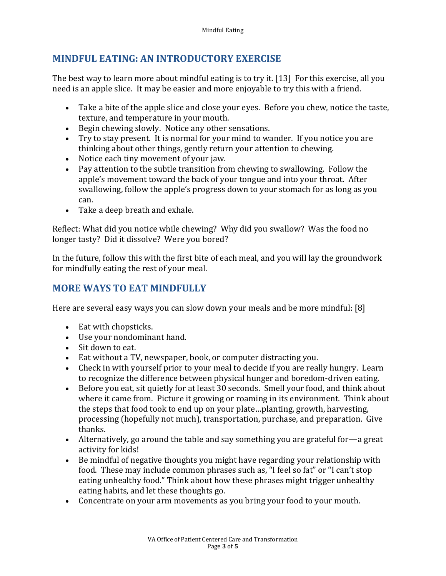## **MINDFUL EATING: AN INTRODUCTORY EXERCISE**

The best way to learn more about mindful eating is to try it. [[13\]](#page-4-12) For this exercise, all you need is an apple slice. It may be easier and more enjoyable to try this with a friend.

- Take a bite of the apple slice and close your eyes. Before you chew, notice the taste, texture, and temperature in your mouth.
- Begin chewing slowly. Notice any other sensations.
- Try to stay present. It is normal for your mind to wander. If you notice you are thinking about other things, gently return your attention to chewing.
- Notice each tiny movement of your jaw.
- Pay attention to the subtle transition from chewing to swallowing. Follow the apple's movement toward the back of your tongue and into your throat. After swallowing, follow the apple's progress down to your stomach for as long as you can.
- Take a deep breath and exhale.

Reflect: What did you notice while chewing? Why did you swallow? Was the food no longer tasty? Did it dissolve? Were you bored?

In the future, follow this with the first bite of each meal, and you will lay the groundwork for mindfully eating the rest of your meal.

#### **MORE WAYS TO EAT MINDFULLY**

Here are several easy ways you can slow down your meals and be more mindful: [\[8](#page-4-11)]

- Eat with chopsticks.
- Use your nondominant hand.
- Sit down to eat.
- Eat without a TV, newspaper, book, or computer distracting you.
- Check in with yourself prior to your meal to decide if you are really hungry. Learn to recognize the difference between physical hunger and boredom-driven eating.
- Before you eat, sit quietly for at least 30 seconds. Smell your food, and think about where it came from. Picture it growing or roaming in its environment. Think about the steps that food took to end up on your plate…planting, growth, harvesting, processing (hopefully not much), transportation, purchase, and preparation. Give thanks.
- Alternatively, go around the table and say something you are grateful for—a great activity for kids!
- Be mindful of negative thoughts you might have regarding your relationship with food. These may include common phrases such as, "I feel so fat" or "I can't stop eating unhealthy food." Think about how these phrases might trigger unhealthy eating habits, and let these thoughts go.
- Concentrate on your arm movements as you bring your food to your mouth.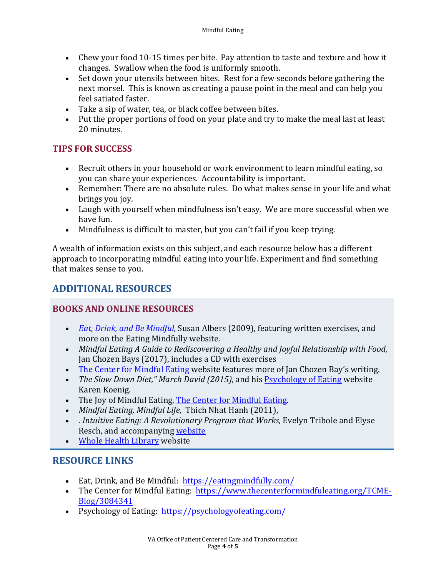- Chew your food 10-15 times per bite. Pay attention to taste and texture and how it changes. Swallow when the food is uniformly smooth.
- Set down your utensils between bites. Rest for a few seconds before gathering the next morsel. This is known as creating a pause point in the meal and can help you feel satiated faster.
- Take a sip of water, tea, or black coffee between bites.
- Put the proper portions of food on your plate and try to make the meal last at least 20 minutes.

### **TIPS FOR SUCCESS**

- Recruit others in your household or work environment to learn mindful eating, so you can share your experiences. Accountability is important.
- Remember: There are no absolute rules. Do what makes sense in your life and what brings you joy.
- Laugh with yourself when mindfulness isn't easy. We are more successful when we have fun.
- Mindfulness is difficult to master, but you can't fail if you keep trying.

A wealth of information exists on this subject, and each resource below has a different approach to incorporating mindful eating into your life. Experiment and find something that makes sense to you.

## **ADDITIONAL RESOURCES**

#### **BOOKS AND ONLINE RESOURCES**

- *[Eat, Drink, and Be Mindful,](https://eatingmindfully.com/)* Susan Albers (2009), featuring written exercises*,* and more on the Eating Mindfully website.
- *Mindful Eating A Guide to Rediscovering a Healthy and Joyful Relationship with Food*, Jan Chozen Bays (2017), includes a CD with exercises
- [The Center for Mindful Eating](https://www.thecenterformindfuleating.org/TCME-Blog/3084341) website features more of Jan Chozen Bay's writing.
- *The Slow Down Diet," March David (2015)*, and his [Psychology of Eating](https://psychologyofeating.com/) website Karen Koenig.
- The Joy of Mindful Eating, [The Center for Mindful Eating.](https://www.thecenterformindfuleating.org/)
- *Mindful Eating, Mindful Life,* Thich Nhat Hanh (2011),
- *Intuitive Eating: A Revolutionary Program that Works, Evelyn Tribole and Elyse* Resch, and accompanying [website](https://www.intuitiveeating.org/)
- [Whole Health Library](https://wholehealth.wisc.edu/) website

### **RESOURCE LINKS**

- Eat, Drink, and Be Mindful: <https://eatingmindfully.com/>
- The Center for Mindful Eating: [https://www.thecenterformindfuleating.org/TCME-](https://www.thecenterformindfuleating.org/TCME-Blog/3084341)[Blog/3084341](https://www.thecenterformindfuleating.org/TCME-Blog/3084341)
- Psychology of Eating: <https://psychologyofeating.com/>